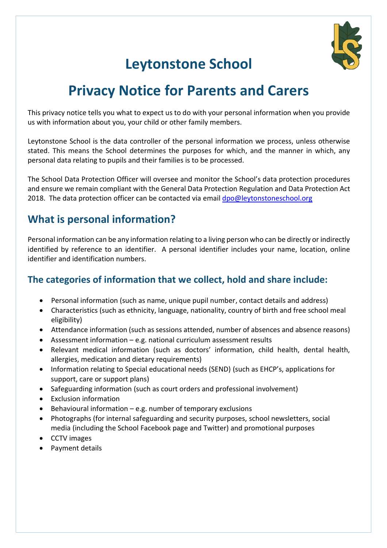

# **Leytonstone School**

## **Privacy Notice for Parents and Carers**

This privacy notice tells you what to expect us to do with your personal information when you provide us with information about you, your child or other family members.

Leytonstone School is the data controller of the personal information we process, unless otherwise stated. This means the School determines the purposes for which, and the manner in which, any personal data relating to pupils and their families is to be processed.

The School Data Protection Officer will oversee and monitor the School's data protection procedures and ensure we remain compliant with the General Data Protection Regulation and Data Protection Act 2018. The data protection officer can be contacted via emai[l dpo@leytonstoneschool.org](mailto:dpo@leytonstoneschool.org)

## **What is personal information?**

Personal information can be any information relating to a living person who can be directly or indirectly identified by reference to an identifier. A personal identifier includes your name, location, online identifier and identification numbers.

#### **The categories of information that we collect, hold and share include:**

- Personal information (such as name, unique pupil number, contact details and address)
- Characteristics (such as ethnicity, language, nationality, country of birth and free school meal eligibility)
- Attendance information (such as sessions attended, number of absences and absence reasons)
- Assessment information e.g. national curriculum assessment results
- Relevant medical information (such as doctors' information, child health, dental health, allergies, medication and dietary requirements)
- Information relating to Special educational needs (SEND) (such as EHCP's, applications for support, care or support plans)
- Safeguarding information (such as court orders and professional involvement)
- Exclusion information
- Behavioural information  $-e.g.$  number of temporary exclusions
- Photographs (for internal safeguarding and security purposes, school newsletters, social media (including the School Facebook page and Twitter) and promotional purposes
- CCTV images
- Payment details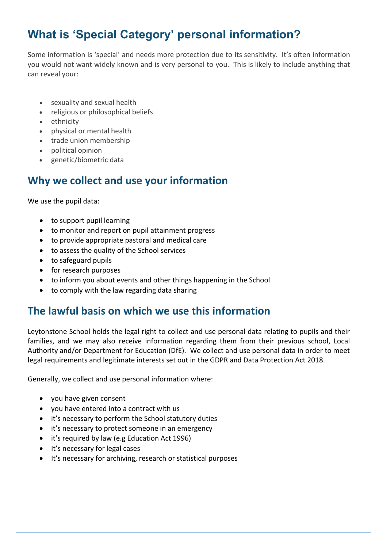## **What is 'Special Category' personal information?**

Some information is 'special' and needs more protection due to its sensitivity. It's often information you would not want widely known and is very personal to you. This is likely to include anything that can reveal your:

- sexuality and sexual health
- religious or philosophical beliefs
- ethnicity
- physical or mental health
- trade union membership
- political opinion
- genetic/biometric data

## **Why we collect and use your information**

We use the pupil data:

- to support pupil learning
- to monitor and report on pupil attainment progress
- to provide appropriate pastoral and medical care
- to assess the quality of the School services
- to safeguard pupils
- for research purposes
- to inform you about events and other things happening in the School
- to comply with the law regarding data sharing

#### **The lawful basis on which we use this information**

Leytonstone School holds the legal right to collect and use personal data relating to pupils and their families, and we may also receive information regarding them from their previous school, Local Authority and/or Department for Education (DfE). We collect and use personal data in order to meet legal requirements and legitimate interests set out in the GDPR and Data Protection Act 2018.

Generally, we collect and use personal information where:

- you have given consent
- you have entered into a contract with us
- it's necessary to perform the School statutory duties
- it's necessary to protect someone in an emergency
- it's required by law (e.g Education Act 1996)
- It's necessary for legal cases
- It's necessary for archiving, research or statistical purposes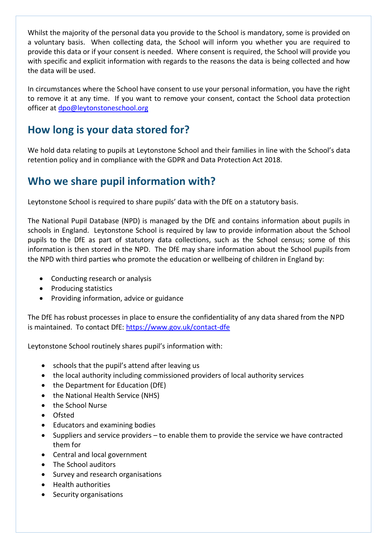Whilst the majority of the personal data you provide to the School is mandatory, some is provided on a voluntary basis. When collecting data, the School will inform you whether you are required to provide this data or if your consent is needed. Where consent is required, the School will provide you with specific and explicit information with regards to the reasons the data is being collected and how the data will be used.

In circumstances where the School have consent to use your personal information, you have the right to remove it at any time. If you want to remove your consent, contact the School data protection officer at [dpo@leytonstoneschool.org](mailto:dpo@leytonstoneschool.org)

### **How long is your data stored for?**

We hold data relating to pupils at Leytonstone School and their families in line with the School's data retention policy and in compliance with the GDPR and Data Protection Act 2018.

#### **Who we share pupil information with?**

Leytonstone School is required to share pupils' data with the DfE on a statutory basis.

The National Pupil Database (NPD) is managed by the DfE and contains information about pupils in schools in England. Leytonstone School is required by law to provide information about the School pupils to the DfE as part of statutory data collections, such as the School census; some of this information is then stored in the NPD. The DfE may share information about the School pupils from the NPD with third parties who promote the education or wellbeing of children in England by:

- Conducting research or analysis
- Producing statistics
- Providing information, advice or guidance

The DfE has robust processes in place to ensure the confidentiality of any data shared from the NPD is maintained. To contact DfE:<https://www.gov.uk/contact-dfe>

Leytonstone School routinely shares pupil's information with:

- schools that the pupil's attend after leaving us
- the local authority including commissioned providers of local authority services
- the Department for Education (DfE)
- the National Health Service (NHS)
- the School Nurse
- Ofsted
- Educators and examining bodies
- Suppliers and service providers to enable them to provide the service we have contracted them for
- Central and local government
- The School auditors
- Survey and research organisations
- Health authorities
- Security organisations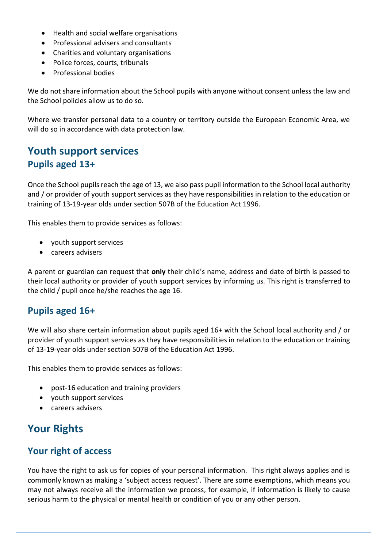- Health and social welfare organisations
- Professional advisers and consultants
- Charities and voluntary organisations
- Police forces, courts, tribunals
- Professional bodies

We do not share information about the School pupils with anyone without consent unless the law and the School policies allow us to do so.

Where we transfer personal data to a country or territory outside the European Economic Area, we will do so in accordance with data protection law.

## **Youth support services Pupils aged 13+**

Once the School pupils reach the age of 13, we also pass pupil information to the School local authority and / or provider of youth support services as they have responsibilities in relation to the education or training of 13-19-year olds under section 507B of the Education Act 1996.

This enables them to provide services as follows:

- youth support services
- careers advisers

A parent or guardian can request that **only** their child's name, address and date of birth is passed to their local authority or provider of youth support services by informing us. This right is transferred to the child / pupil once he/she reaches the age 16.

#### **Pupils aged 16+**

We will also share certain information about pupils aged 16+ with the School local authority and / or provider of youth support services as they have responsibilities in relation to the education or training of 13-19-year olds under section 507B of the Education Act 1996.

This enables them to provide services as follows:

- post-16 education and training providers
- youth support services
- careers advisers

## **Your Rights**

#### **Your right of access**

You have the right to ask us for copies of your personal information. This right always applies and is commonly known as making a 'subject access request'. There are some exemptions, which means you may not always receive all the information we process, for example, if information is likely to cause serious harm to the physical or mental health or condition of you or any other person.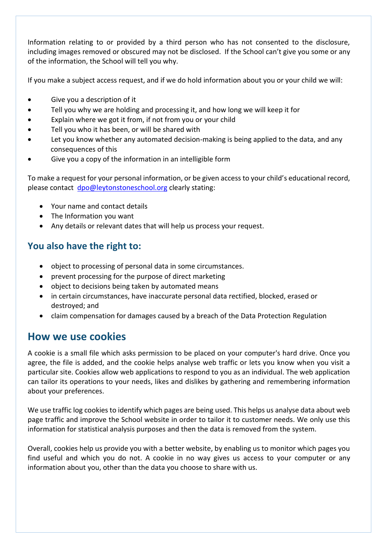Information relating to or provided by a third person who has not consented to the disclosure, including images removed or obscured may not be disclosed. If the School can't give you some or any of the information, the School will tell you why.

If you make a subject access request, and if we do hold information about you or your child we will:

- Give you a description of it
- Tell you why we are holding and processing it, and how long we will keep it for
- Explain where we got it from, if not from you or your child
- Tell you who it has been, or will be shared with
- Let you know whether any automated decision-making is being applied to the data, and any consequences of this
- Give you a copy of the information in an intelligible form

To make a request for your personal information, or be given access to your child's educational record, please contact [dpo@leytonstoneschool.org](mailto:dpo@leytonstoneschool.org) clearly stating:

- Your name and contact details
- The Information you want
- Any details or relevant dates that will help us process your request.

#### **You also have the right to:**

- object to processing of personal data in some circumstances.
- prevent processing for the purpose of direct marketing
- object to decisions being taken by automated means
- in certain circumstances, have inaccurate personal data rectified, blocked, erased or destroyed; and
- claim compensation for damages caused by a breach of the Data Protection Regulation

#### **How we use cookies**

A cookie is a small file which asks permission to be placed on your computer's hard drive. Once you agree, the file is added, and the cookie helps analyse web traffic or lets you know when you visit a particular site. Cookies allow web applications to respond to you as an individual. The web application can tailor its operations to your needs, likes and dislikes by gathering and remembering information about your preferences.

We use traffic log cookies to identify which pages are being used. This helps us analyse data about web page traffic and improve the School website in order to tailor it to customer needs. We only use this information for statistical analysis purposes and then the data is removed from the system.

Overall, cookies help us provide you with a better website, by enabling us to monitor which pages you find useful and which you do not. A cookie in no way gives us access to your computer or any information about you, other than the data you choose to share with us.